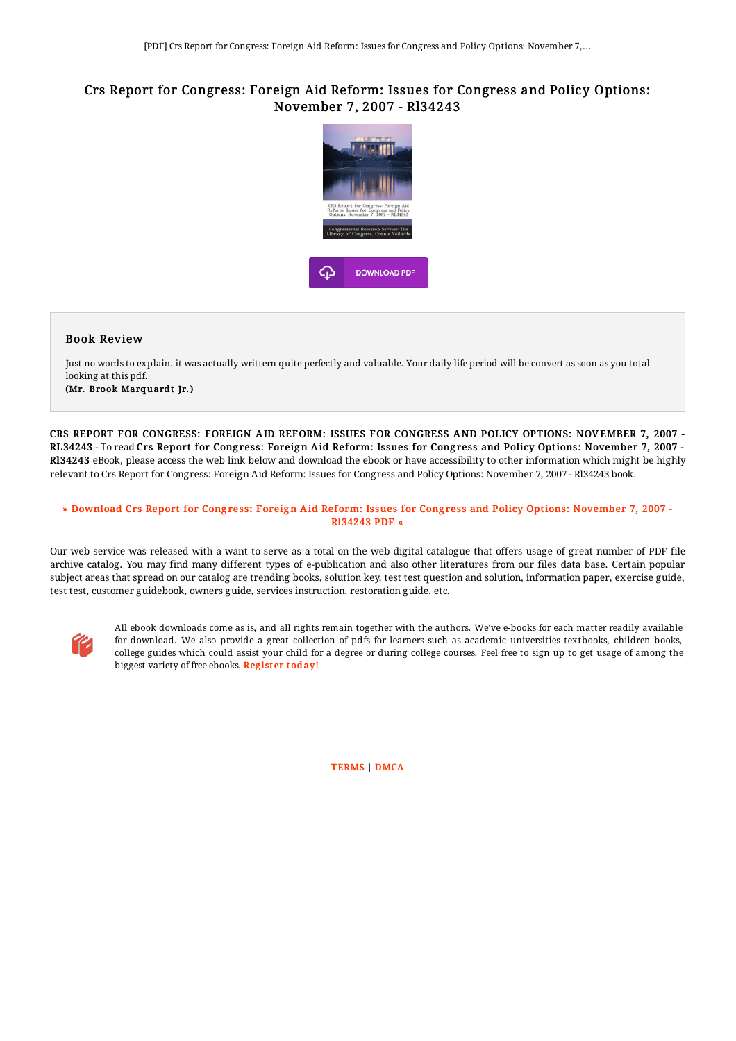## Crs Report for Congress: Foreign Aid Reform: Issues for Congress and Policy Options: November 7, 2007 - Rl34243



## Book Review

Just no words to explain. it was actually writtern quite perfectly and valuable. Your daily life period will be convert as soon as you total looking at this pdf.

(Mr. Brook Marquardt Jr.)

CRS REPORT FOR CONGRESS: FOREIGN AID REFORM: ISSUES FOR CONGRESS AND POLICY OPTIONS: NOV EMBER 7, 2007 - RL34243 - To read Crs Report for Congress: Foreign Aid Reform: Issues for Congress and Policy Options: November 7, 2007 -Rl34243 eBook, please access the web link below and download the ebook or have accessibility to other information which might be highly relevant to Crs Report for Congress: Foreign Aid Reform: Issues for Congress and Policy Options: November 7, 2007 - Rl34243 book.

## » Download Crs Report for Congress: Foreign Aid Reform: Issues for Congress and Policy Options: [November](http://almighty24.tech/crs-report-for-congress-foreign-aid-reform-issue.html) 7, 2007 -Rl34243 PDF «

Our web service was released with a want to serve as a total on the web digital catalogue that offers usage of great number of PDF file archive catalog. You may find many different types of e-publication and also other literatures from our files data base. Certain popular subject areas that spread on our catalog are trending books, solution key, test test question and solution, information paper, exercise guide, test test, customer guidebook, owners guide, services instruction, restoration guide, etc.



All ebook downloads come as is, and all rights remain together with the authors. We've e-books for each matter readily available for download. We also provide a great collection of pdfs for learners such as academic universities textbooks, children books, college guides which could assist your child for a degree or during college courses. Feel free to sign up to get usage of among the biggest variety of free ebooks. [Regist](http://almighty24.tech/crs-report-for-congress-foreign-aid-reform-issue.html)er today!